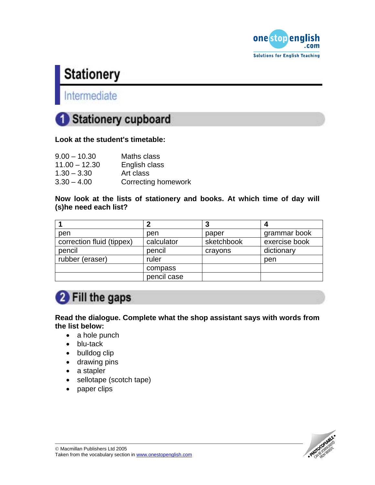

## **Stationery**

## Intermediate



#### **Look at the student's timetable:**

| $9.00 - 10.30$  | Maths class                |
|-----------------|----------------------------|
| $11.00 - 12.30$ | English class              |
| $1.30 - 3.30$   | Art class                  |
| $3.30 - 4.00$   | <b>Correcting homework</b> |

#### **Now look at the lists of stationery and books. At which time of day will (s)he need each list?**

|                           |             |            | 4             |
|---------------------------|-------------|------------|---------------|
| pen                       | pen         | paper      | grammar book  |
| correction fluid (tippex) | calculator  | sketchbook | exercise book |
| pencil                    | pencil      | crayons    | dictionary    |
| rubber (eraser)           | ruler       |            | pen           |
|                           | compass     |            |               |
|                           | pencil case |            |               |

## **2** Fill the gaps

**Read the dialogue. Complete what the shop assistant says with words from the list below:** 

- a hole punch
- blu-tack
- bulldog clip
- drawing pins
- a stapler
- sellotape (scotch tape)
- paper clips

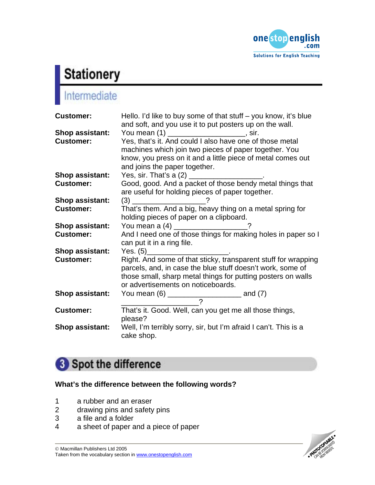

# **Stationery**<br>Intermediate

| <b>Customer:</b>                           | Hello. I'd like to buy some of that stuff $-$ you know, it's blue<br>and soft, and you use it to put posters up on the wall.                                                                                                                                   |
|--------------------------------------------|----------------------------------------------------------------------------------------------------------------------------------------------------------------------------------------------------------------------------------------------------------------|
| <b>Shop assistant:</b><br><b>Customer:</b> | You mean (1) ______________________, sir.<br>Yes, that's it. And could I also have one of those metal<br>machines which join two pieces of paper together. You<br>know, you press on it and a little piece of metal comes out<br>and joins the paper together. |
| <b>Shop assistant:</b>                     |                                                                                                                                                                                                                                                                |
| <b>Customer:</b>                           | Good, good. And a packet of those bendy metal things that<br>are useful for holding pieces of paper together.                                                                                                                                                  |
| <b>Shop assistant:</b>                     |                                                                                                                                                                                                                                                                |
| <b>Customer:</b>                           | That's them. And a big, heavy thing on a metal spring for<br>holding pieces of paper on a clipboard.                                                                                                                                                           |
| <b>Shop assistant:</b>                     | You mean a (4) __________________?                                                                                                                                                                                                                             |
| <b>Customer:</b>                           | And I need one of those things for making holes in paper so I<br>can put it in a ring file.                                                                                                                                                                    |
| <b>Shop assistant:</b>                     | Yes. $(5)$ __________________________.                                                                                                                                                                                                                         |
| <b>Customer:</b>                           | Right. And some of that sticky, transparent stuff for wrapping<br>parcels, and, in case the blue stuff doesn't work, some of<br>those small, sharp metal things for putting posters on walls<br>or advertisements on noticeboards.                             |
| <b>Shop assistant:</b>                     |                                                                                                                                                                                                                                                                |
| <b>Customer:</b>                           | That's it. Good. Well, can you get me all those things,<br>please?                                                                                                                                                                                             |
| <b>Shop assistant:</b>                     | Well, I'm terribly sorry, sir, but I'm afraid I can't. This is a<br>cake shop.                                                                                                                                                                                 |

## Spot the difference

#### **What's the difference between the following words?**

- 1 a rubber and an eraser
- 2 drawing pins and safety pins
- 3 a file and a folder
- 4 a sheet of paper and a piece of paper

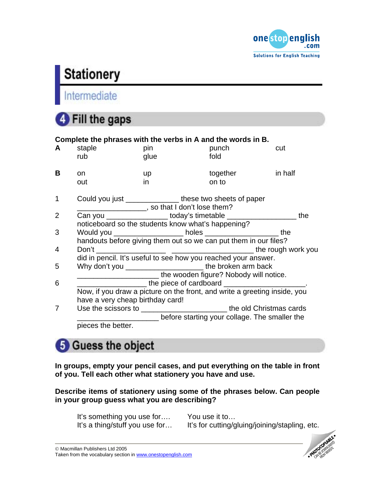

## **Stationery**

## Intermediate

## **4** Fill the gaps

|                | Complete the phrases with the verbs in A and the words in B.              |                                                             |                                                                                  |         |  |
|----------------|---------------------------------------------------------------------------|-------------------------------------------------------------|----------------------------------------------------------------------------------|---------|--|
| A              | staple                                                                    | pin                                                         | punch                                                                            | cut     |  |
|                | rub                                                                       | glue                                                        | fold                                                                             |         |  |
| B              | on.                                                                       | up                                                          | together                                                                         | in half |  |
|                | out                                                                       | in.                                                         | on to                                                                            |         |  |
| $\mathbf 1$    |                                                                           | Could you just __________________ these two sheets of paper |                                                                                  |         |  |
|                |                                                                           | so that I don't lose them?                                  |                                                                                  |         |  |
| $\overline{2}$ |                                                                           |                                                             | Can you ___________________ today's timetable __________________________________ | the     |  |
|                | noticeboard so the students know what's happening?                        |                                                             |                                                                                  |         |  |
| 3              |                                                                           |                                                             | Would you _____________________ holes _________________________ the              |         |  |
|                | handouts before giving them out so we can put them in our files?          |                                                             |                                                                                  |         |  |
| 4              |                                                                           |                                                             |                                                                                  |         |  |
|                | did in pencil. It's useful to see how you reached your answer.            |                                                             |                                                                                  |         |  |
| 5              | Why don't you _________________________the broken arm back                |                                                             |                                                                                  |         |  |
|                | The wooden figure? Nobody will notice.                                    |                                                             |                                                                                  |         |  |
| 6              |                                                                           |                                                             |                                                                                  |         |  |
|                | Now, if you draw a picture on the front, and write a greeting inside, you |                                                             |                                                                                  |         |  |
|                | have a very cheap birthday card!                                          |                                                             |                                                                                  |         |  |
| 7              |                                                                           |                                                             | Use the scissors to ______________________________the old Christmas cards        |         |  |
|                |                                                                           |                                                             | before starting your collage. The smaller the                                    |         |  |
|                | pieces the better.                                                        |                                                             |                                                                                  |         |  |
|                |                                                                           |                                                             |                                                                                  |         |  |

## **5** Guess the object

**In groups, empty your pencil cases, and put everything on the table in front of you. Tell each other what stationery you have and use.** 

**Describe items of stationery using some of the phrases below. Can people in your group guess what you are describing?** 

It's something you use for.... You use it to...<br>It's a thing/stuff you use for... It's for cutting/g

It's for cutting/gluing/joining/stapling, etc.